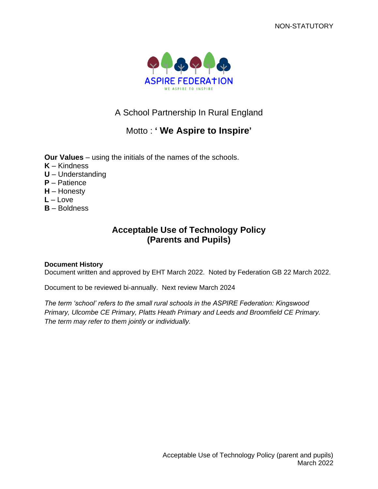

# A School Partnership In Rural England

# Motto : **' We Aspire to Inspire'**

**Our Values** – using the initials of the names of the schools.

- **K** Kindness
- **U** Understanding
- **P** Patience
- **H** Honesty
- **L** Love
- **B** Boldness

## **Acceptable Use of Technology Policy (Parents and Pupils)**

#### **Document History**

Document written and approved by EHT March 2022. Noted by Federation GB 22 March 2022.

Document to be reviewed bi-annually. Next review March 2024

*The term 'school' refers to the small rural schools in the ASPIRE Federation: Kingswood Primary, Ulcombe CE Primary, Platts Heath Primary and Leeds and Broomfield CE Primary. The term may refer to them jointly or individually.*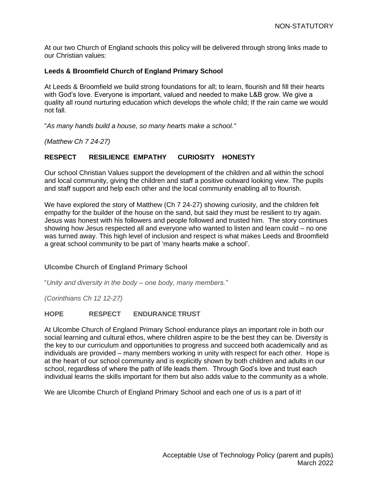At our two Church of England schools this policy will be delivered through strong links made to our Christian values:

#### **Leeds & Broomfield Church of England Primary School**

At Leeds & Broomfield we build strong foundations for all; to learn, flourish and fill their hearts with God's love. Everyone is important, valued and needed to make L&B grow. We give a quality all round nurturing education which develops the whole child; If the rain came we would not fall.

"*As many hands build a house, so many hearts make a school."*

*(Matthew Ch 7 24-27)*

### **RESPECT RESILIENCE EMPATHY CURIOSITY HONESTY**

Our school Christian Values support the development of the children and all within the school and local community, giving the children and staff a positive outward looking view. The pupils and staff support and help each other and the local community enabling all to flourish.

We have explored the story of Matthew (Ch 7 24-27) showing curiosity, and the children felt empathy for the builder of the house on the sand, but said they must be resilient to try again. Jesus was honest with his followers and people followed and trusted him. The story continues showing how Jesus respected all and everyone who wanted to listen and learn could – no one was turned away. This high level of inclusion and respect is what makes Leeds and Broomfield a great school community to be part of 'many hearts make a school'.

#### **Ulcombe Church of England Primary School**

"*Unity and diversity in the body – one body, many members."*

*(Corinthians Ch 12 12-27)*

#### **HOPE RESPECT ENDURANCETRUST**

At Ulcombe Church of England Primary School endurance plays an important role in both our social learning and cultural ethos, where children aspire to be the best they can be. Diversity is the key to our curriculum and opportunities to progress and succeed both academically and as individuals are provided – many members working in unity with respect for each other. Hope is at the heart of our school community and is explicitly shown by both children and adults in our school, regardless of where the path of life leads them. Through God's love and trust each individual learns the skills important for them but also adds value to the community as a whole.

We are Ulcombe Church of England Primary School and each one of us is a part of it!